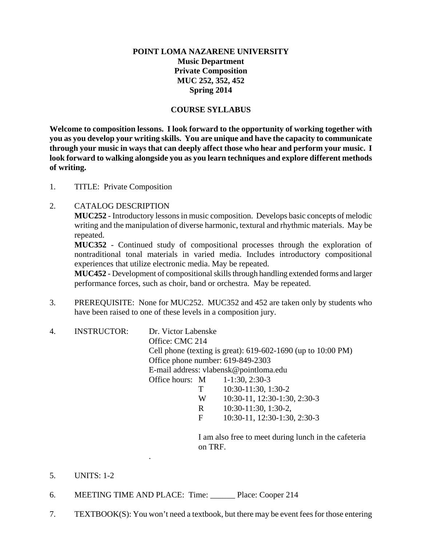# **POINT LOMA NAZARENE UNIVERSITY Music Department Private Composition MUC 252, 352, 452 Spring 2014**

### **COURSE SYLLABUS**

**Welcome to composition lessons. I look forward to the opportunity of working together with you as you develop your writing skills. You are unique and have the capacity to communicate through your music in ways that can deeply affect those who hear and perform your music. I look forward to walking alongside you as you learn techniques and explore different methods of writing.** 

1. TITLE: Private Composition

#### 2. CATALOG DESCRIPTION

**MUC252** - Introductory lessons in music composition. Develops basic concepts of melodic writing and the manipulation of diverse harmonic, textural and rhythmic materials. May be repeated.

**MUC352** - Continued study of compositional processes through the exploration of nontraditional tonal materials in varied media. Includes introductory compositional experiences that utilize electronic media. May be repeated.

**MUC452** - Development of compositional skills through handling extended forms and larger performance forces, such as choir, band or orchestra. May be repeated.

- 3. PREREQUISITE: None for MUC252. MUC352 and 452 are taken only by students who have been raised to one of these levels in a composition jury.
- 4. INSTRUCTOR: Dr. Victor Labenske Office: CMC 214 Cell phone (texting is great): 619-602-1690 (up to 10:00 PM) Office phone number: 619-849-2303 E-mail address: vlabensk@pointloma.edu Office hours: M 1-1:30, 2:30-3 T 10:30-11:30, 1:30-2 W 10:30-11, 12:30-1:30, 2:30-3 R 10:30-11:30, 1:30-2, F 10:30-11, 12:30-1:30, 2:30-3

 I am also free to meet during lunch in the cafeteria on TRF.

- 5. UNITS: 1-2
- 6. MEETING TIME AND PLACE: Time: \_\_\_\_\_\_ Place: Cooper 214

.

7. TEXTBOOK(S): You won't need a textbook, but there may be event fees for those entering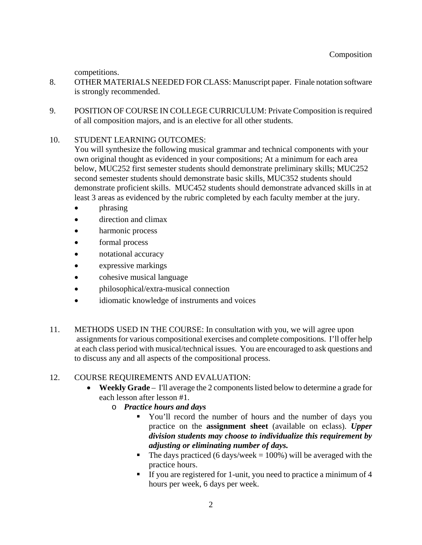competitions.

- 8. OTHER MATERIALS NEEDED FOR CLASS: Manuscript paper. Finale notation software is strongly recommended.
- 9. POSITION OF COURSE IN COLLEGE CURRICULUM: Private Composition is required of all composition majors, and is an elective for all other students.

### 10. STUDENT LEARNING OUTCOMES:

You will synthesize the following musical grammar and technical components with your own original thought as evidenced in your compositions; At a minimum for each area below, MUC252 first semester students should demonstrate preliminary skills; MUC252 second semester students should demonstrate basic skills, MUC352 students should demonstrate proficient skills. MUC452 students should demonstrate advanced skills in at least 3 areas as evidenced by the rubric completed by each faculty member at the jury.

- phrasing
- direction and climax
- harmonic process
- formal process
- notational accuracy
- expressive markings
- cohesive musical language
- philosophical/extra-musical connection
- idiomatic knowledge of instruments and voices
- 11. METHODS USED IN THE COURSE: In consultation with you, we will agree upon assignments for various compositional exercises and complete compositions. I'll offer help at each class period with musical/technical issues. You are encouraged to ask questions and to discuss any and all aspects of the compositional process.

# 12. COURSE REQUIREMENTS AND EVALUATION:

- **Weekly Grade** I'll average the 2 components listed below to determine a grade for each lesson after lesson #1.
	- o *Practice hours and days* 
		- You'll record the number of hours and the number of days you practice on the **assignment sheet** (available on eclass). *Upper division students may choose to individualize this requirement by adjusting or eliminating number of days.*
		- The days practiced (6 days/week =  $100\%$ ) will be averaged with the practice hours.
		- If you are registered for 1-unit, you need to practice a minimum of 4 hours per week, 6 days per week.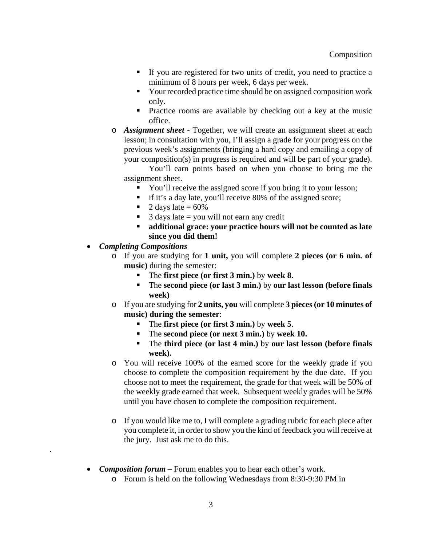- If you are registered for two units of credit, you need to practice a minimum of 8 hours per week, 6 days per week.
- Your recorded practice time should be on assigned composition work only.
- **Practice rooms are available by checking out a key at the music** office.
- o *Assignment sheet* Together, we will create an assignment sheet at each lesson; in consultation with you, I'll assign a grade for your progress on the previous week's assignments (bringing a hard copy and emailing a copy of your composition(s) in progress is required and will be part of your grade).

You'll earn points based on when you choose to bring me the assignment sheet.

- You'll receive the assigned score if you bring it to your lesson;
- if it's a day late, you'll receive 80% of the assigned score;
- $\blacksquare$  2 days late = 60%
- $\blacksquare$  3 days late = you will not earn any credit
- **additional grace: your practice hours will not be counted as late since you did them!**
- *Completing Compositions*

.

- o If you are studying for **1 unit,** you will complete **2 pieces (or 6 min. of music)** during the semester:
	- The **first piece (or first 3 min.)** by **week 8**.
	- The **second piece (or last 3 min.)** by **our last lesson (before finals week)**
- o If you are studying for **2 units, you** will complete **3 pieces (or 10 minutes of music) during the semester**:
	- The **first piece (or first 3 min.)** by **week 5**.
	- The **second piece (or next 3 min.)** by **week 10.**
	- The **third piece (or last 4 min.)** by **our last lesson (before finals week).**
- o You will receive 100% of the earned score for the weekly grade if you choose to complete the composition requirement by the due date. If you choose not to meet the requirement, the grade for that week will be 50% of the weekly grade earned that week. Subsequent weekly grades will be 50% until you have chosen to complete the composition requirement.
- o If you would like me to, I will complete a grading rubric for each piece after you complete it, in order to show you the kind of feedback you will receive at the jury. Just ask me to do this.
- *Composition forum* Forum enables you to hear each other's work.
	- o Forum is held on the following Wednesdays from 8:30-9:30 PM in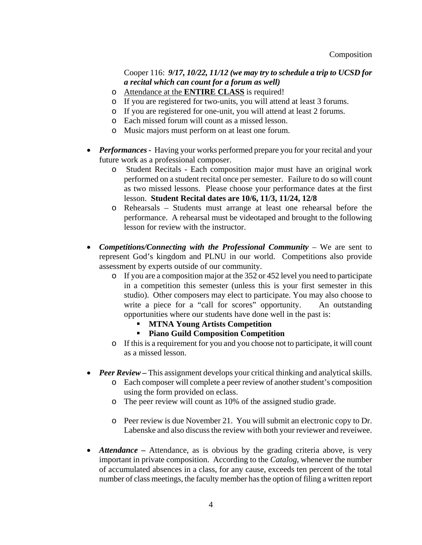# Cooper 116: *9/17, 10/22, 11/12 (we may try to schedule a trip to UCSD for a recital which can count for a forum as well)*

- o Attendance at the **ENTIRE CLASS** is required!
- o If you are registered for two-units, you will attend at least 3 forums.
- o If you are registered for one-unit, you will attend at least 2 forums.
- o Each missed forum will count as a missed lesson.
- o Music majors must perform on at least one forum.
- Performances Having your works performed prepare you for your recital and your future work as a professional composer.
	- o Student Recitals Each composition major must have an original work performed on a student recital once per semester. Failure to do so will count as two missed lessons. Please choose your performance dates at the first lesson. **Student Recital dates are 10/6, 11/3, 11/24, 12/8**
	- o Rehearsals Students must arrange at least one rehearsal before the performance. A rehearsal must be videotaped and brought to the following lesson for review with the instructor.
- *Competitions/Connecting with the Professional Community* We are sent to represent God's kingdom and PLNU in our world. Competitions also provide assessment by experts outside of our community.
	- o If you are a composition major at the 352 or 452 level you need to participate in a competition this semester (unless this is your first semester in this studio). Other composers may elect to participate. You may also choose to write a piece for a "call for scores" opportunity. An outstanding opportunities where our students have done well in the past is:
		- **MTNA Young Artists Competition**
		- **Piano Guild Composition Competition**
	- o If this is a requirement for you and you choose not to participate, it will count as a missed lesson.
- *Peer Review This assignment develops your critical thinking and analytical skills.* 
	- o Each composer will complete a peer review of another student's composition using the form provided on eclass.
	- o The peer review will count as 10% of the assigned studio grade.
	- o Peer review is due November 21. You will submit an electronic copy to Dr. Labenske and also discuss the review with both your reviewer and reveiwee.
- *Attendance* Attendance, as is obvious by the grading criteria above, is very important in private composition. According to the *Catalog*, whenever the number of accumulated absences in a class, for any cause, exceeds ten percent of the total number of class meetings, the faculty member has the option of filing a written report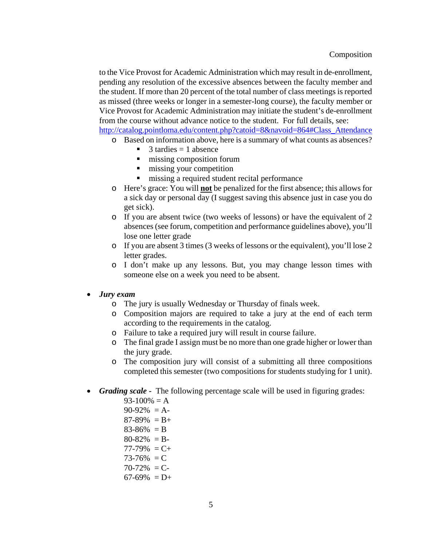to the Vice Provost for Academic Administration which may result in de-enrollment, pending any resolution of the excessive absences between the faculty member and the student. If more than 20 percent of the total number of class meetings is reported as missed (three weeks or longer in a semester-long course), the faculty member or Vice Provost for Academic Administration may initiate the student's de-enrollment from the course without advance notice to the student. For full details, see:

http://catalog.pointloma.edu/content.php?catoid=8&navoid=864#Class\_Attendance

- o Based on information above, here is a summary of what counts as absences?
	- $\blacksquare$  3 tardies = 1 absence
	- $\blacksquare$  missing composition forum
	- $\blacksquare$  missing your competition
	- $\blacksquare$  missing a required student recital performance
- o Here's grace: You will **not** be penalized for the first absence; this allows for a sick day or personal day (I suggest saving this absence just in case you do get sick).
- o If you are absent twice (two weeks of lessons) or have the equivalent of 2 absences (see forum, competition and performance guidelines above), you'll lose one letter grade
- o If you are absent 3 times (3 weeks of lessons or the equivalent), you'll lose 2 letter grades.
- o I don't make up any lessons. But, you may change lesson times with someone else on a week you need to be absent.

# *Jury exam*

- o The jury is usually Wednesday or Thursday of finals week.
- o Composition majors are required to take a jury at the end of each term according to the requirements in the catalog.
- o Failure to take a required jury will result in course failure.
- o The final grade I assign must be no more than one grade higher or lower than the jury grade.
- o The composition jury will consist of a submitting all three compositions completed this semester (two compositions for students studying for 1 unit).
- *Grading scale -* The following percentage scale will be used in figuring grades:
	- $93-100% = A$
	- $90-92\% = A$
	- $87-89\% = B +$
	- $83-86\% = B$
	- $80-82\% = B$
	- $77-79\% = C +$
	- $73-76\% = C$
	- $70-72\% = C$
	- $67-69\% = D+$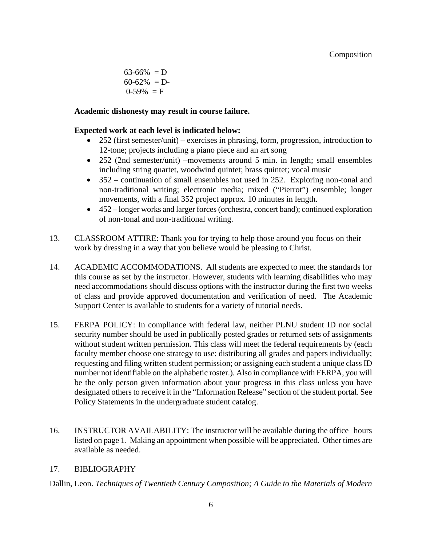$63-66\% = D$  $60-62\% = D$  $0-59\% = F$ 

#### **Academic dishonesty may result in course failure.**

#### **Expected work at each level is indicated below:**

- 252 (first semester/unit) exercises in phrasing, form, progression, introduction to 12-tone; projects including a piano piece and an art song
- 252 (2nd semester/unit) –movements around 5 min. in length; small ensembles including string quartet, woodwind quintet; brass quintet; vocal music
- 352 continuation of small ensembles not used in 252. Exploring non-tonal and non-traditional writing; electronic media; mixed ("Pierrot") ensemble; longer movements, with a final 352 project approx. 10 minutes in length.
- 452 longer works and larger forces (orchestra, concert band); continued exploration of non-tonal and non-traditional writing.
- 13. CLASSROOM ATTIRE: Thank you for trying to help those around you focus on their work by dressing in a way that you believe would be pleasing to Christ.
- 14. ACADEMIC ACCOMMODATIONS. All students are expected to meet the standards for this course as set by the instructor. However, students with learning disabilities who may need accommodations should discuss options with the instructor during the first two weeks of class and provide approved documentation and verification of need. The Academic Support Center is available to students for a variety of tutorial needs.
- 15. FERPA POLICY: In compliance with federal law, neither PLNU student ID nor social security number should be used in publically posted grades or returned sets of assignments without student written permission. This class will meet the federal requirements by (each faculty member choose one strategy to use: distributing all grades and papers individually; requesting and filing written student permission; or assigning each student a unique class ID number not identifiable on the alphabetic roster.). Also in compliance with FERPA, you will be the only person given information about your progress in this class unless you have designated others to receive it in the "Information Release" section of the student portal. See Policy Statements in the undergraduate student catalog.
- 16. INSTRUCTOR AVAILABILITY: The instructor will be available during the office hours listed on page 1. Making an appointment when possible will be appreciated. Other times are available as needed.

#### 17. BIBLIOGRAPHY

Dallin, Leon. *Techniques of Twentieth Century Composition; A Guide to the Materials of Modern*